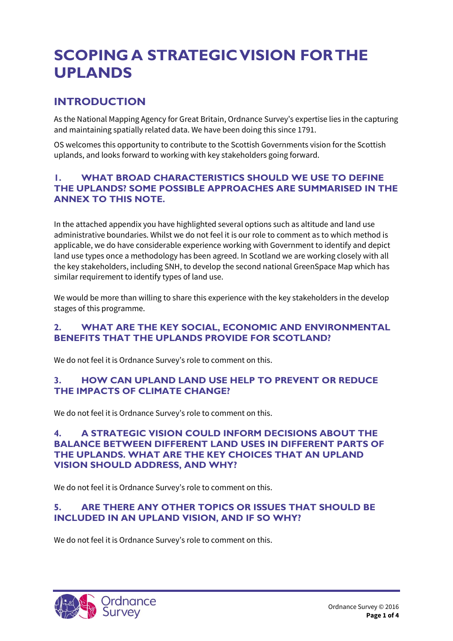# **SCOPING A STRATEGIC VISION FOR THE UPLANDS**

# **INTRODUCTION**

As the National Mapping Agency for Great Britain, Ordnance Survey's expertise lies in the capturing and maintaining spatially related data. We have been doing this since 1791.

OS welcomes this opportunity to contribute to the Scottish Governments vision for the Scottish uplands, and looks forward to working with key stakeholders going forward.

#### **1. WHAT BROAD CHARACTERISTICS SHOULD WE USE TO DEFINE THE UPLANDS? SOME POSSIBLE APPROACHES ARE SUMMARISED IN THE ANNEX TO THIS NOTE.**

In the attached appendix you have highlighted several options such as altitude and land use administrative boundaries. Whilst we do not feel it is our role to comment as to which method is applicable, we do have considerable experience working with Government to identify and depict land use types once a methodology has been agreed. In Scotland we are working closely with all the key stakeholders, including SNH, to develop the second national GreenSpace Map which has similar requirement to identify types of land use.

We would be more than willing to share this experience with the key stakeholders in the develop stages of this programme.

#### **2. WHAT ARE THE KEY SOCIAL, ECONOMIC AND ENVIRONMENTAL BENEFITS THAT THE UPLANDS PROVIDE FOR SCOTLAND?**

We do not feel it is Ordnance Survey's role to comment on this.

#### **3. HOW CAN UPLAND LAND USE HELP TO PREVENT OR REDUCE THE IMPACTS OF CLIMATE CHANGE?**

We do not feel it is Ordnance Survey's role to comment on this.

#### **4. A STRATEGIC VISION COULD INFORM DECISIONS ABOUT THE BALANCE BETWEEN DIFFERENT LAND USES IN DIFFERENT PARTS OF THE UPLANDS. WHAT ARE THE KEY CHOICES THAT AN UPLAND VISION SHOULD ADDRESS, AND WHY?**

We do not feel it is Ordnance Survey's role to comment on this.

#### **5. ARE THERE ANY OTHER TOPICS OR ISSUES THAT SHOULD BE INCLUDED IN AN UPLAND VISION, AND IF SO WHY?**

We do not feel it is Ordnance Survey's role to comment on this.

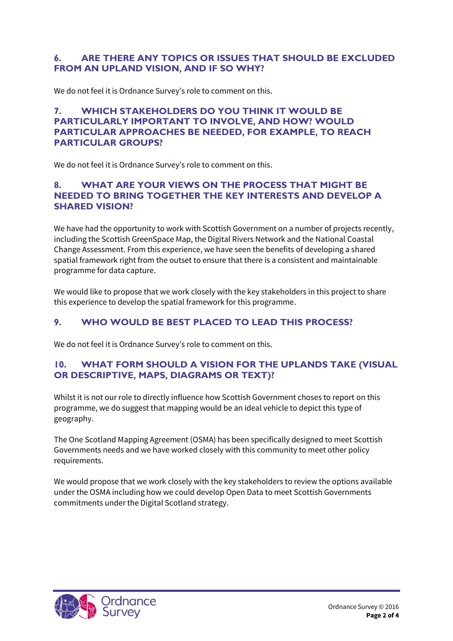#### **6. ARE THERE ANY TOPICS OR ISSUES THAT SHOULD BE EXCLUDED FROM AN UPLAND VISION, AND IF SO WHY?**

We do not feel it is Ordnance Survey's role to comment on this.

#### **7. WHICH STAKEHOLDERS DO YOU THINK IT WOULD BE PARTICULARLY IMPORTANT TO INVOLVE, AND HOW? WOULD PARTICULAR APPROACHES BE NEEDED, FOR EXAMPLE, TO REACH PARTICULAR GROUPS?**

We do not feel it is Ordnance Survey's role to comment on this.

#### **8. WHAT ARE YOUR VIEWS ON THE PROCESS THAT MIGHT BE NEEDED TO BRING TOGETHER THE KEY INTERESTS AND DEVELOP A SHARED VISION?**

We have had the opportunity to work with Scottish Government on a number of projects recently, including the Scottish GreenSpace Map, the Digital Rivers Network and the National Coastal Change Assessment. From this experience, we have seen the benefits of developing a shared spatial framework right from the outset to ensure that there is a consistent and maintainable programme for data capture.

We would like to propose that we work closely with the key stakeholders in this project to share this experience to develop the spatial framework for this programme.

## **9. WHO WOULD BE BEST PLACED TO LEAD THIS PROCESS?**

We do not feel it is Ordnance Survey's role to comment on this.

#### **10. WHAT FORM SHOULD A VISION FOR THE UPLANDS TAKE (VISUAL OR DESCRIPTIVE, MAPS, DIAGRAMS OR TEXT)?**

Whilst it is not our role to directly influence how Scottish Government choses to report on this programme, we do suggest that mapping would be an ideal vehicle to depict this type of geography.

The One Scotland Mapping Agreement (OSMA) has been specifically designed to meet Scottish Governments needs and we have worked closely with this community to meet other policy requirements.

We would propose that we work closely with the key stakeholders to review the options available under the OSMA including how we could develop Open Data to meet Scottish Governments commitments under the Digital Scotland strategy.

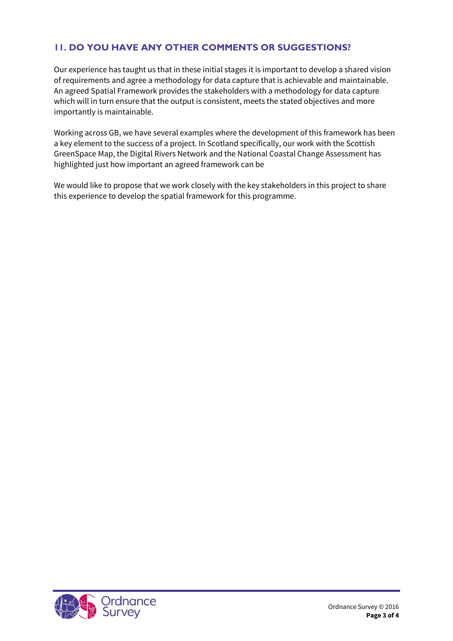## **11. DO YOU HAVE ANY OTHER COMMENTS OR SUGGESTIONS?**

Our experience has taught us that in these initial stages it is important to develop a shared vision of requirements and agree a methodology for data capture that is achievable and maintainable. An agreed Spatial Framework provides the stakeholders with a methodology for data capture which will in turn ensure that the output is consistent, meets the stated objectives and more importantly is maintainable.

Working across GB, we have several examples where the development of this framework has been a key element to the success of a project. In Scotland specifically, our work with the Scottish GreenSpace Map, the Digital Rivers Network and the National Coastal Change Assessment has highlighted just how important an agreed framework can be

We would like to propose that we work closely with the key stakeholders in this project to share this experience to develop the spatial framework for this programme.